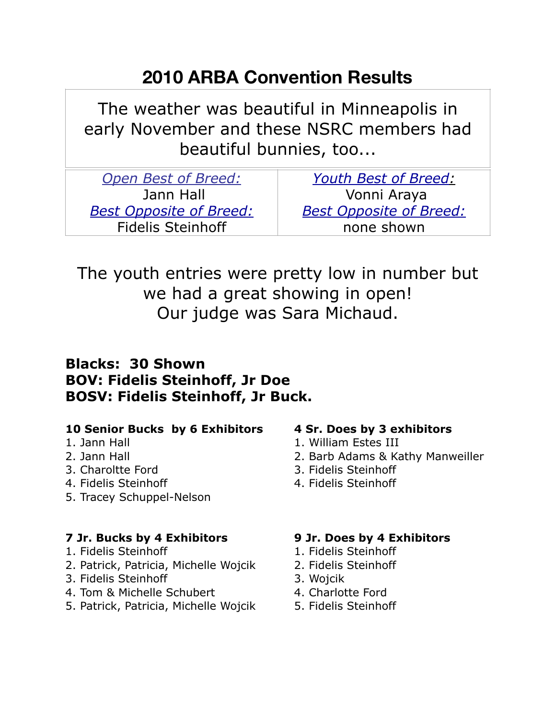# **2010 ARBA Convention Results**

The weather was beautiful in Minneapolis in early November and these NSRC members had beautiful bunnies, too...

| <b>Youth Best of Breed:</b>    |
|--------------------------------|
| Vonni Araya                    |
| <b>Best Opposite of Breed:</b> |
| none shown                     |
|                                |

The youth entries were pretty low in number but we had a great showing in open! Our judge was Sara Michaud.

## **Blacks: 30 Shown BOV: Fidelis Steinhoff, Jr Doe BOSV: Fidelis Steinhoff, Jr Buck.**

### **10 Senior Bucks by 6 Exhibitors 4 Sr. Does by 3 exhibitors**

- 
- 
- 
- 4. Fidelis Steinhoff 4. Fidelis Steinhoff
- 5. Tracey Schuppel-Nelson

### **7 Jr. Bucks by 4 Exhibitors 9 Jr. Does by 4 Exhibitors**

- 1. Fidelis Steinhoff 1. Fidelis Steinhoff
- 2. Patrick, Patricia, Michelle Wojcik 2. Fidelis Steinhoff
- 3. Fidelis Steinhoff 3. Wojcik
- 4. Tom & Michelle Schubert 4. Charlotte Ford
- 5. Patrick, Patricia, Michelle Wojcik 5. Fidelis Steinhoff

- 1. Jann Hall 1. William Estes III
- 2. Jann Hall 2. Barb Adams & Kathy Manweiller
- 3. Charoltte Ford 3. Fidelis Steinhoff
	-

- 
- 
- 
- 
-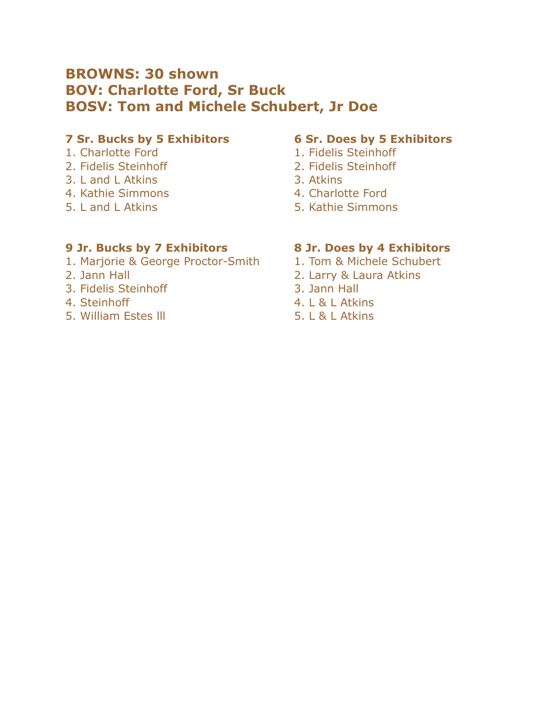## **BROWNS: 30 shown BOV: Charlotte Ford, Sr Buck BOSV: Tom and Michele Schubert, Jr Doe**

### **7 Sr. Bucks by 5 Exhibitors 6 Sr. Does by 5 Exhibitors**

- 
- 
- 3. L and L Atkins 3. Atkins
- 4. Kathie Simmons and A. Charlotte Ford
- 

- 1. Charlotte Ford 1. Fidelis Steinhoff
- 2. Fidelis Steinhoff 2. Fidelis Steinhoff
	-
	-
- 5. L and L Atkins 5. Kathie Simmons

### **9 Jr. Bucks by 7 Exhibitors 8 Jr. Does by 4 Exhibitors**

- 1. Marjorie & George Proctor-Smith 1. Tom & Michele Schubert
- 
- 3. Fidelis Steinhoff 3. Jann Hall
- 
- 5. William Estes III **5. L & L Atkins**

- 
- 2. Jann Hall 2. Larry & Laura Atkins
	-
- 4. Steinhoff 4. L & L Atkins
	-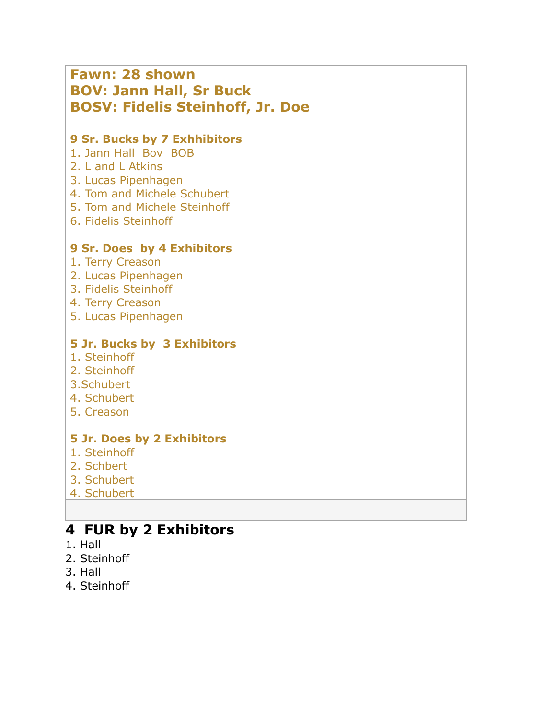| <b>Fawn: 28 shown</b><br><b>BOV: Jann Hall, Sr Buck</b><br><b>BOSV: Fidelis Steinhoff, Jr. Doe</b>                                                                                      |
|-----------------------------------------------------------------------------------------------------------------------------------------------------------------------------------------|
| 9 Sr. Bucks by 7 Exhhibitors<br>1. Jann Hall Boy BOB<br>2. L and L Atkins<br>3. Lucas Pipenhagen<br>4. Tom and Michele Schubert<br>5. Tom and Michele Steinhoff<br>6. Fidelis Steinhoff |
| 9 Sr. Does by 4 Exhibitors<br>1. Terry Creason<br>2. Lucas Pipenhagen<br>3. Fidelis Steinhoff<br>4. Terry Creason<br>5. Lucas Pipenhagen                                                |
| <b>5 Jr. Bucks by 3 Exhibitors</b><br>1. Steinhoff<br>2. Steinhoff<br>3.Schubert<br>4. Schubert<br>5. Creason                                                                           |
| <b>5 Jr. Does by 2 Exhibitors</b><br>1. Steinhoff<br>2. Schbert<br>3. Schubert<br>4. Schubert                                                                                           |

# **4 FUR by 2 Exhibitors**

- 1. Hall
- 2. Steinhoff
- 3. Hall
- 4. Steinhoff